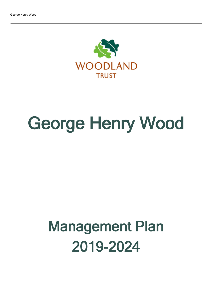

# George Henry Wood

# Management Plan 2019-2024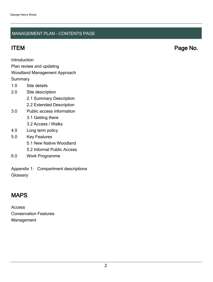#### MANAGEMENT PLAN - CONTENTS PAGE

Introduction

Plan review and updating

#### Woodland Management Approach

**Summary** 

- 1.0 Site details
- 2.0 Site description
	- 2.1 Summary Description
	- 2.2 Extended Description
- 3.0 Public access information
	- 3.1 Getting there
	- 3.2 Access / Walks
- 4.0 Long term policy
- 5.0 Key Features
	- 5.1 New Native Woodland
	- 5.2 Informal Public Access
- 6.0 Work Programme

Appendix 1: Compartment descriptions **Glossary** 

# MAPS

Access Conservation Features Management

ITEM Page No.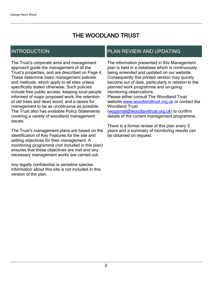# THE WOODLAND TRUST

# INTRODUCTION

The Trust's corporate aims and management approach guide the management of all the Trust's properties, and are described on Page 4. These determine basic management policies and methods, which apply to all sites unless specifically stated otherwise. Such policies include free public access; keeping local people informed of major proposed work; the retention of old trees and dead wood; and a desire for management to be as unobtrusive as possible. The Trust also has available Policy Statements covering a variety of woodland management issues.

The Trust's management plans are based on the identification of Key Features for the site and setting objectives for their management. A monitoring programme (not included in this plan) ensures that these objectives are met and any necessary management works are carried out.

Any legally confidential or sensitive species information about this site is not included in this version of the plan.

# PLAN REVIEW AND UPDATING

The information presented in this Management plan is held in a database which is continuously being amended and updated on our website. Consequently this printed version may quickly become out of date, particularly in relation to the planned work programme and on-going monitoring observations. Please either consult The Woodland Trust website [www.woodlandtrust.org.uk](http://www.woodlandtrust.org.uk/) or contact the Woodland Trust [\(wopsmail@woodlandtrust.org.uk](mailto:wopsmail@woodlandtrust.org.uk)) to confirm

details of the current management programme.

There is a formal review of this plan every 5 years and a summary of monitoring results can be obtained on request.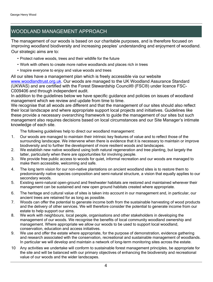# WOODLAND MANAGEMENT APPROACH

The management of our woods is based on our charitable purposes, and is therefore focused on improving woodland biodiversity and increasing peoples' understanding and enjoyment of woodland. Our strategic aims are to:

- Protect native woods, trees and their wildlife for the future
- Work with others to create more native woodlands and places rich in trees
- Inspire everyone to enjoy and value woods and trees

All our sites have a management plan which is freely accessible via our website [www.woodlandtrust.org.uk.](http://www.woodlandtrust.org.uk/) Our woods are managed to the UK Woodland Assurance Standard (UKWAS) and are certified with the Forest Stewardship Council® (FSC®) under licence FSC-C009406 and through independent audit.

In addition to the guidelines below we have specific guidance and policies on issues of woodland management which we review and update from time to time.

We recognise that all woods are different and that the management of our sites should also reflect their local landscape and where appropriate support local projects and initiatives. Guidelines like these provide a necessary overarching framework to guide the management of our sites but such management also requires decisions based on local circumstances and our Site Manager's intimate knowledge of each site.

The following guidelines help to direct our woodland management:

- 1. Our woods are managed to maintain their intrinsic key features of value and to reflect those of the surrounding landscape. We intervene when there is evidence that it is necessary to maintain or improve biodiversity and to further the development of more resilient woods and landscapes.
- 2. We establish new native woodland using both natural regeneration and tree planting, but largely the latter, particularly when there are opportunities for involving people.
- 3. We provide free public access to woods for quiet, informal recreation and our woods are managed to make them accessible, welcoming and safe.
- 4. The long term vision for our non-native plantations on ancient woodland sites is to restore them to predominantly native species composition and semi-natural structure, a vision that equally applies to our secondary woods.
- 5. Existing semi-natural open-ground and freshwater habitats are restored and maintained wherever their management can be sustained and new open ground habitats created where appropriate.
- 6. The heritage and cultural value of sites is taken into account in our management and, in particular, our ancient trees are retained for as long as possible.
- 7. Woods can offer the potential to generate income both from the sustainable harvesting of wood products and the delivery of other services. We will therefore consider the potential to generate income from our estate to help support our aims.
- 8. We work with neighbours, local people, organisations and other stakeholders in developing the management of our woods. We recognise the benefits of local community woodland ownership and management. Where appropriate we allow our woods to be used to support local woodland, conservation, education and access initiatives.
- 9. We use and offer the estate where appropriate, for the purpose of demonstration, evidence gathering and research associated with the conservation, recreational and sustainable management of woodlands. In particular we will develop and maintain a network of long-term monitoring sites across the estate.
- 10 Any activities we undertake will conform to sustainable forest management principles, be appropriate for the site and will be balanced with our primary objectives of enhancing the biodiversity and recreational value of our woods and the wider landscapes.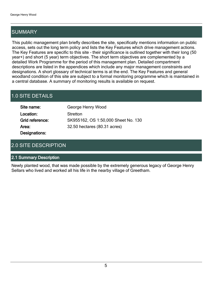# SUMMARY

This public management plan briefly describes the site, specifically mentions information on public access, sets out the long term policy and lists the Key Features which drive management actions. The Key Features are specific to this site - their significance is outlined together with their long (50 year+) and short (5 year) term objectives. The short term objectives are complemented by a detailed Work Programme for the period of this management plan. Detailed compartment descriptions are listed in the appendices which include any major management constraints and designations. A short glossary of technical terms is at the end. The Key Features and general woodland condition of this site are subject to a formal monitoring programme which is maintained in a central database. A summary of monitoring results is available on request.

# 1.0 SITE DETAILS

| Site name:      | George Henry Wood                   |
|-----------------|-------------------------------------|
| Location:       | Stretton                            |
| Grid reference: | SK955162, OS 1:50,000 Sheet No. 130 |
| Area:           | 32.50 hectares (80.31 acres)        |
| Designations:   |                                     |

# 2.0 SITE DESCRIPTION

#### 2.1 Summary Description

Newly planted wood, that was made possible by the extremely generous legacy of George Henry Sellars who lived and worked all his life in the nearby village of Greetham.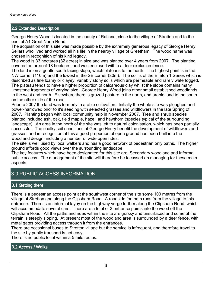#### 2.2 Extended Description

George Henry Wood is located in the county of Rutland, close to the village of Stretton and to the east of A1 Great North Road.

The acquisition of this site was made possible by the extremely generous legacy of George Henry Sellars who lived and worked all his life in the nearby village of Greetham. The wood name was chosen in recognition of his kind legacy.

The wood is 33 hectares (82 acres) in size and was planted over 4 years from 2007. The planting covered an area of 18 hectares, and was enclosed within a deer exclusion fence.

The land is on a gentle south facing slope, which plateaus to the north. The highest point is in the NW corner (110m) and the lowest in the SE corner (80m). The soil is of the Elmton 1 Series which is described as fine loamy or clayey, variably stony soils which are permeable and rarely waterlogged. The plateau tends to have a higher proportion of calcareous clay whilst the slope contains many limestone fragments of varying size. George Henry Wood joins other small established woodlands to the west and north. Elsewhere there is grazed pasture to the north, and arable land to the south on the other side of the road.

Prior to 2007 the land was formerly in arable cultivation. Initially the whole site was ploughed and power-harrowed prior to it's seeding with selected grasses and wildflowers in the late Spring of 2007. Planting began with local community help in November 2007. Tree and shrub species planted included ash, oak, field maple, hazel, and hawthorn (species typical of the surrounding landscape). An area in the north of the site was left to natural colonisation, which has been partially successful. The chalky soil conditions at George Henry benefit the development of wildflowers and grasses, and in recognition of this a good proportion of open ground has been built into the woodland design, including a number of wide open rides.

The site is well used by local walkers and has a good network of pedestrian only paths. The higher ground affords good views over the surrounding landscape.

The key features which have been designated for this site are: Secondary woodland and Informal public access. The management of the site will therefore be focussed on managing for these main aspects.

### 3.0 PUBLIC ACCESS INFORMATION

#### 3.1 Getting there

There is a pedestrian access point at the southwest corner of the site some 100 metres from the village of Stretton and along the Clipsham Road. A roadside footpath runs from the village to this entrance. There is an informal layby on the highway verge further along the Clipsham Road, which will accommodate several cars. There are a total of 3 entrance points into the wood off the Clipsham Road. All the paths and rides within the site are grassy and unsurfaced and some of the terrain is steeply sloping. At present most of the woodland area is surrounded by a deer fence, with metal gates providing access through it from the entrances.

There are occasional buses to Stretton village but the service is infrequent, and therefore travel to the site by public transport is not easy.

There is no public toilet within a 5 mile radius.

#### 3.2 Access / Walks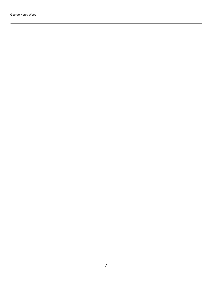George Henry Wood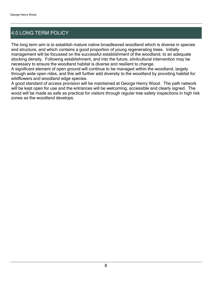# 4.0 LONG TERM POLICY

The long term aim is to establish mature native broadleaved woodland which is diverse in species and structure, and which contains a good proportion of young regenerating trees. Initially management will be focussed on the successful establishment of the woodland, to an adequate stocking density. Following establishment, and into the future, silvilcultural intervention may be necessary to ensure the woodland habitat is diverse and resilient to change.

A significant element of open ground will continue to be managed within the woodland, largely through wide open rides, and this will further add diversity to the woodland by providing habitat for wildflowers and woodland edge species.

A good standard of access provision will be maintained at George Henry Wood. The path network will be kept open for use and the entrances will be welcoming, accessible and clearly signed. The wood will be made as safe as practical for visitors through regular tree safety inspections in high risk zones as the woodland develops.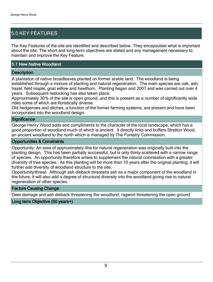# 5.0 KEY FEATURES

The Key Features of the site are identified and described below. They encapsulate what is important about the site. The short and long-term objectives are stated and any management necessary to maintain and improve the Key Feature.

#### 5.1 New Native Woodland

#### **Description**

A plantation of native broadleaves planted on former arable land. The woodland is being established through a mixture of planting and natural regeneration. The main species are oak, ash, hazel, field maple, goat willow and hawthorn. Planting began and 2007 and was carried out over 4 years. Subsequent restocking has also taken place.

Approximately 30% of the site is open ground, and this is present as a number of significantly wide rides some of which are floristically diverse.

Old hedgerows and ditches, a function of the former farming systems, are present and have been incorporated into the woodland design.

#### **Significance**

George Henry Wood adds and compliments to the character of the local landscape, which has a good proportion of woodland much of which is ancient. It directly links and buffers Stretton Wood, an ancient woodland to the north which is managed by The Forestry Commission.

#### Opportunities & Constraints

Opportunity: An area of approximately 4ha for natural regeneration was originally built into the planting design. This has been partially successful, but is only thinly scattered with a narrow range of species. An opportunity therefore arises to supplement the natural colonisation with a greater diversity of tree species. As this planting will be more than 10 years after the original planting, it will further add diversity of woodland structure to the site.

Opportunity/threat: Although ash dieback threatens ash as a major component of the woodland in the future, it will also add a degree of structural diversity into the woodland giving rise to natural regeneration of other species.

#### Factors Causing Change

Deer damage and ash dieback threatening the woodland, ragwort threatening the open ground.

#### Long term Objective (50 years+)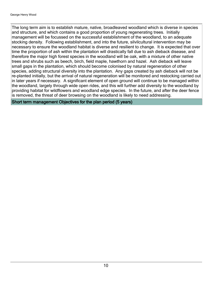The long term aim is to establish mature, native, broadleaved woodland which is diverse in species and structure, and which contains a good proportion of young regenerating trees. Initially management will be focussed on the successful establishment of the woodland, to an adequate stocking density. Following establishment, and into the future, silvilcultural intervention may be necessary to ensure the woodland habitat is diverse and resilient to change. It is expected that over time the proportion of ash within the plantation will drastically fall due to ash dieback disease, and therefore the major high forest species in the woodland will be oak, with a mixture of other native trees and shrubs such as beech, birch, field maple, hawthorn and hazel. Ash dieback will leave small gaps in the plantation, which should become colonised by natural regeneration of other species, adding structural diversity into the plantation. Any gaps created by ash dieback will not be re-planted initially, but the arrival of natural regeneration will be monitored and restocking carried out in later years if necessary. A significant element of open ground will continue to be managed within the woodland, largely through wide open rides, and this will further add diversity to the woodland by providing habitat for wildflowers and woodland edge species. In the future, and after the deer fence is removed, the threat of deer browsing on the woodland is likely to need addressing.

Short term management Objectives for the plan period (5 years)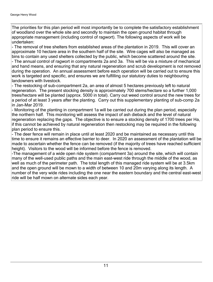The priorities for this plan period will most importantly be to complete the satisfactory establishment of woodland over the whole site and secondly to maintain the open ground habitat through appropriate management (including control of ragwort). The following aspects of work will be undertaken:

- The removal of tree shelters from established areas of the plantation in 2019. This will cover an approximate 10 hectare area in the southern half of the site. Wire cages will also be managed as bins to contain any used shelters collected by the public, which become scattered around the site. - The annual control of ragwort in compartments 2a and 3a. This will be via a mixture of mechanical and hand means, and ensuring that any natural regeneration and scrub development is not removed during the operation. An annual assessment before each operation will be carried out to ensure this work is targeted and specific, and ensures we are fulfilling our statutory duties to neighbouring

landowners with livestock. - The restocking of sub-compartment 2a, an area of almost 5 hectares previously left to natural regeneration. The present stocking density is approximately 700 stems/hectare so a further 1,000 trees/hectare will be planted (approx. 5000 in total). Carry out weed control around the new trees for a period of at least 3 years after the planting. Carry out this supplementary planting of sub-comp 2a in Jan-Mar 2019.

- Monitoring of the planting in compartment 1a will be carried out during the plan period, especially the northern half. This monitoring will assess the impact of ash dieback and the level of natural regeneration replacing the gaps. The objective is to ensure a stocking density of 1700 trees per Ha, if this cannot be achieved by natural regeneration then restocking may be required in the following plan period to ensure this.

- The deer fence will remain in place until at least 2020 and be maintained as necessary until this time to ensure it remains an effective barrier to deer. In 2020 an assessment of the plantation will be made to ascertain whether the fence can be removed (if the majority of trees have reached sufficient height). Visitors to the wood will be informed before the fence is removed.

-The management of a wide open ride system (compartment 3a) around the site, which will contain many of the well-used public paths and the main east-west ride through the middle of the wood, as well as much of the perimeter path. The total length of this managed ride system will be at 3.5km and the open ground will be mown to a width of between 10 and 20m varying along its length. A number of the very wide rides including the one near the eastern boundary and the central east-west ride will be half mown on alternate sides each year.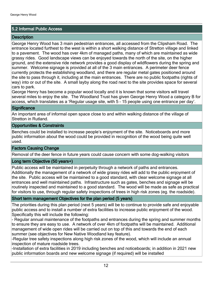#### 5.2 Informal Public Access

#### **Description**

George Henry Wood has 3 main pedestrian entrances, all accessed from the Clipsham Road. The entrance located furthest to the west is within a short walking distance of Stretton village and linked to a pavement. The wood has over 4km of managed paths, many of which are maintained as wide grassy rides. Good landscape views can be enjoyed towards the north of the site, on the higher ground, and the extensive ride network provides a good display of wildflowers during the spring and summer. Welcome signage is provided at all of the 3 main entrances. A perimeter deer fence currently protects the establishing woodland, and there are regular metal gates positioned around the site to pass through it, including at the main entrances. There are no public footpaths (rights of way) into or out of the site. A small layby along the road next to the site provides space for several cars to park.

George Henry has become a popular wood locally and it is known that some visitors will travel several miles to enjoy the site. The Woodland Trust has given George Henry Wood a category B for access, which translates as a 'Regular usage site, with 5 - 15 people using one entrance per day'.

#### **Significance**

An important area of informal open space close to and within walking distance of the village of Stretton in Rutland.

#### Opportunities & Constraints

Benches could be installed to increase people's enjoyment of the site. Noticeboards and more public information about the wood could be provided in recognition of the wood being quite well used.

#### Factors Causing Change

Removal of the deer fence in future years could cause concern with some dog-walking visitors

#### Long term Objective (50 years+)

Public access will be maintained in perpetuity through a network of paths and entrances. Additionally the management of a network of wide grassy rides will add to the public enjoyment of the site. Public access will be maintained to a good standard, with clear welcome signage at all entrances and well maintained paths. Infrastructure such as gates, benches and signage will be routinely inspected and maintained to a good standard. The wood will be made as safe as practical for visitors to use, through regular safety inspections of trees in high risk zones (eg. the roadside).

#### Short term management Objectives for the plan period (5 years)

The priorities during this plan period (next 5 years) will be to continue to provide safe and enjoyable public access and to install a number of extra facilities to increase public enjoyment of the wood. Specifically this will include the following:

- Regular annual maintenance of the footpaths and entrances during the spring and summer months to ensure they are easy to use. A network of over 4km of footpaths will be maintained. Additional management of wide open rides will be carried out on top of this and towards the end of each summer (see objectives for New Native Woodland key feature).

-Regular tree safety inspections along high risk zones of the wood, which will include an annual inspection of mature roadside trees.

-Installation of extra facilities in 2019 including benches and noticeboards; in addition in 2021 new public information boards and new welcome signage (if required) will be installed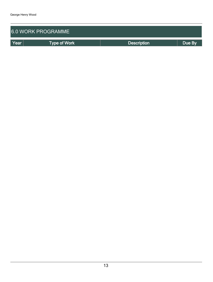| <b>6.0 WORK PROGRAMME</b> |                     |                    |        |  |  |  |  |  |  |
|---------------------------|---------------------|--------------------|--------|--|--|--|--|--|--|
| Year                      | <b>Type of Work</b> | <b>Description</b> | Due By |  |  |  |  |  |  |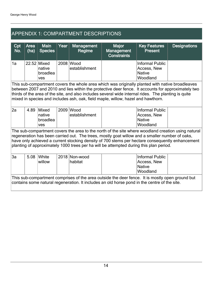# APPENDIX 1: COMPARTMENT DESCRIPTIONS

| Cpt<br>No.                                                                                                                                                                                                                                                                                                                                                                                        | <b>Area</b><br>(ha) | <b>Main</b><br><b>Species</b>            | Year | <b>Management</b><br>Regime | <b>Major</b><br><b>Management</b><br><b>Constraints</b> | <b>Key Features</b><br><b>Present</b>                              | <b>Designations</b> |  |
|---------------------------------------------------------------------------------------------------------------------------------------------------------------------------------------------------------------------------------------------------------------------------------------------------------------------------------------------------------------------------------------------------|---------------------|------------------------------------------|------|-----------------------------|---------------------------------------------------------|--------------------------------------------------------------------|---------------------|--|
| 1a                                                                                                                                                                                                                                                                                                                                                                                                |                     | 22.52 Mixed<br>native<br>broadlea<br>ves |      | 2008 Wood<br>establishment  |                                                         | Informal Public<br>Access, New<br><b>Native</b><br>Woodland        |                     |  |
| This sub-compartment covers the whole area which was originally planted with native broadleaves<br>between 2007 and 2010 and lies within the protective deer fence. It accounts for approximately two<br>thirds of the area of the site, and also includes several wide internal rides. The planting is quite<br>mixed in species and includes ash, oak, field maple, willow, hazel and hawthorn. |                     |                                          |      |                             |                                                         |                                                                    |                     |  |
| 2a                                                                                                                                                                                                                                                                                                                                                                                                | 4.89                | Mixed<br>native<br>broadlea<br>ves       |      | 2009 Wood<br>establishment  |                                                         | Informal Public<br>Access, New<br><b>Native</b><br>Woodland        |                     |  |
| The sub-compartment covers the area to the north of the site where woodland creation using natural<br>regeneration has been carried out. The trees, mostly goat willow and a smaller number of oaks,<br>have only achieved a current stocking density of 700 stems per hectare consequently enhancement<br>planting of approximately 1000 trees per ha will be attempted during this plan period. |                     |                                          |      |                             |                                                         |                                                                    |                     |  |
| 3a                                                                                                                                                                                                                                                                                                                                                                                                | 5.08                | White<br>willow                          |      | 2018 Non-wood<br>habitat    |                                                         | <b>Informal Public</b><br>Access, New<br><b>Native</b><br>Woodland |                     |  |
| This sub-compartment comprises of the area outside the deer fence. It is mostly open ground but<br>contains some natural regeneration. It includes an old horse pond in the centre of the site.                                                                                                                                                                                                   |                     |                                          |      |                             |                                                         |                                                                    |                     |  |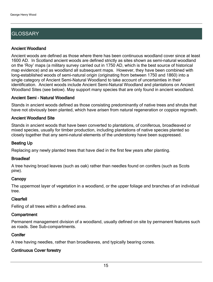# **GLOSSARY**

#### Ancient Woodland

Ancient woods are defined as those where there has been continuous woodland cover since at least 1600 AD. In Scotland ancient woods are defined strictly as sites shown as semi-natural woodland on the 'Roy' maps (a military survey carried out in 1750 AD, which is the best source of historical map evidence) and as woodland all subsequent maps. However, they have been combined with long-established woods of semi-natural origin (originating from between 1750 and 1860) into a single category of Ancient Semi-Natural Woodland to take account of uncertainties in their identification. Ancient woods include Ancient Semi-Natural Woodland and plantations on Ancient Woodland Sites (see below). May support many species that are only found in ancient woodland.

#### Ancient Semi - Natural Woodland

Stands in ancient woods defined as those consisting predominantly of native trees and shrubs that have not obviously been planted, which have arisen from natural regeneration or coppice regrowth.

#### Ancient Woodland Site

Stands in ancient woods that have been converted to plantations, of coniferous, broadleaved or mixed species, usually for timber production, including plantations of native species planted so closely together that any semi-natural elements of the understorey have been suppressed.

#### Beating Up

Replacing any newly planted trees that have died in the first few years after planting.

#### **Broadleaf**

A tree having broad leaves (such as oak) rather than needles found on conifers (such as Scots pine).

#### **Canopy**

The uppermost layer of vegetation in a woodland, or the upper foliage and branches of an individual tree.

#### Clearfell

Felling of all trees within a defined area.

#### **Compartment**

Permanent management division of a woodland, usually defined on site by permanent features such as roads. See Sub-compartments.

#### **Conifer**

A tree having needles, rather than broadleaves, and typically bearing cones.

### Continuous Cover forestry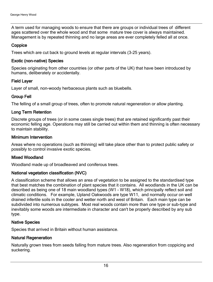A term used for managing woods to ensure that there are groups or individual trees of different ages scattered over the whole wood and that some mature tree cover is always maintained. Management is by repeated thinning and no large areas are ever completely felled all at once.

#### **Coppice**

Trees which are cut back to ground levels at regular intervals (3-25 years).

#### Exotic (non-native) Species

Species originating from other countries (or other parts of the UK) that have been introduced by humans, deliberately or accidentally.

#### Field Layer

Layer of small, non-woody herbaceous plants such as bluebells.

#### Group Fell

The felling of a small group of trees, often to promote natural regeneration or allow planting.

#### Long Term Retention

Discrete groups of trees (or in some cases single trees) that are retained significantly past their economic felling age. Operations may still be carried out within them and thinning is often necessary to maintain stability.

#### Minimum Intervention

Areas where no operations (such as thinning) will take place other than to protect public safety or possibly to control invasive exotic species.

#### Mixed Woodland

Woodland made up of broadleaved and coniferous trees.

#### National vegetation classification (NVC)

A classification scheme that allows an area of vegetation to be assigned to the standardised type that best matches the combination of plant species that it contains. All woodlands in the UK can be described as being one of 18 main woodland types (W1 - W18), which principally reflect soil and climatic conditions. For example, Upland Oakwoods are type W11, and normally occur on well drained infertile soils in the cooler and wetter north and west of Britain. Each main type can be subdivided into numerous subtypes. Most real woods contain more than one type or sub-type and inevitably some woods are intermediate in character and can't be properly described by any sub type.

#### Native Species

Species that arrived in Britain without human assistance.

#### Natural Regeneration

Naturally grown trees from seeds falling from mature trees. Also regeneration from coppicing and suckering.